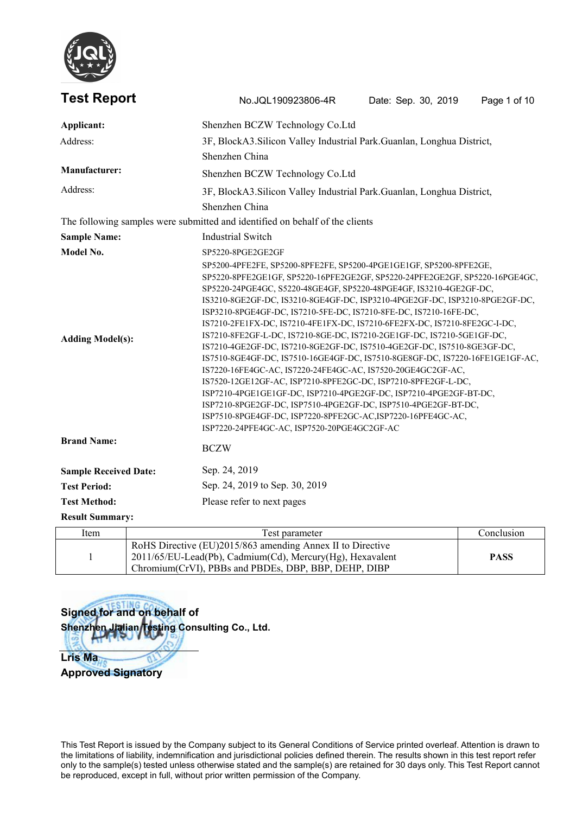

| <b>Test Report</b>           | No.JQL190923806-4R                                                                                                                                                                                                                                                                                                                                                                                                                                                                                                                                                                                                                                                                                                                                                                                                                                                                                                                                                                                           | Date: Sep. 30, 2019 | Page 1 of 10 |
|------------------------------|--------------------------------------------------------------------------------------------------------------------------------------------------------------------------------------------------------------------------------------------------------------------------------------------------------------------------------------------------------------------------------------------------------------------------------------------------------------------------------------------------------------------------------------------------------------------------------------------------------------------------------------------------------------------------------------------------------------------------------------------------------------------------------------------------------------------------------------------------------------------------------------------------------------------------------------------------------------------------------------------------------------|---------------------|--------------|
| Applicant:                   | Shenzhen BCZW Technology Co.Ltd                                                                                                                                                                                                                                                                                                                                                                                                                                                                                                                                                                                                                                                                                                                                                                                                                                                                                                                                                                              |                     |              |
| Address:                     | 3F, BlockA3. Silicon Valley Industrial Park. Guanlan, Longhua District,                                                                                                                                                                                                                                                                                                                                                                                                                                                                                                                                                                                                                                                                                                                                                                                                                                                                                                                                      |                     |              |
|                              | Shenzhen China                                                                                                                                                                                                                                                                                                                                                                                                                                                                                                                                                                                                                                                                                                                                                                                                                                                                                                                                                                                               |                     |              |
| <b>Manufacturer:</b>         | Shenzhen BCZW Technology Co.Ltd                                                                                                                                                                                                                                                                                                                                                                                                                                                                                                                                                                                                                                                                                                                                                                                                                                                                                                                                                                              |                     |              |
| Address:                     | 3F, BlockA3. Silicon Valley Industrial Park. Guanlan, Longhua District,                                                                                                                                                                                                                                                                                                                                                                                                                                                                                                                                                                                                                                                                                                                                                                                                                                                                                                                                      |                     |              |
|                              | Shenzhen China                                                                                                                                                                                                                                                                                                                                                                                                                                                                                                                                                                                                                                                                                                                                                                                                                                                                                                                                                                                               |                     |              |
|                              | The following samples were submitted and identified on behalf of the clients                                                                                                                                                                                                                                                                                                                                                                                                                                                                                                                                                                                                                                                                                                                                                                                                                                                                                                                                 |                     |              |
| <b>Sample Name:</b>          | <b>Industrial Switch</b>                                                                                                                                                                                                                                                                                                                                                                                                                                                                                                                                                                                                                                                                                                                                                                                                                                                                                                                                                                                     |                     |              |
| Model No.                    | SP5220-8PGE2GE2GF                                                                                                                                                                                                                                                                                                                                                                                                                                                                                                                                                                                                                                                                                                                                                                                                                                                                                                                                                                                            |                     |              |
| <b>Adding Model(s):</b>      | SP5220-8PFE2GE1GF, SP5220-16PFE2GE2GF, SP5220-24PFE2GE2GF, SP5220-16PGE4GC,<br>SP5220-24PGE4GC, S5220-48GE4GF, SP5220-48PGE4GF, IS3210-4GE2GF-DC,<br>IS3210-8GE2GF-DC, IS3210-8GE4GF-DC, ISP3210-4PGE2GF-DC, ISP3210-8PGE2GF-DC,<br>ISP3210-8PGE4GF-DC, IS7210-5FE-DC, IS7210-8FE-DC, IS7210-16FE-DC,<br>IS7210-2FE1FX-DC, IS7210-4FE1FX-DC, IS7210-6FE2FX-DC, IS7210-8FE2GC-I-DC,<br>IS7210-8FE2GF-L-DC, IS7210-8GE-DC, IS7210-2GE1GF-DC, IS7210-5GE1GF-DC,<br>IS7210-4GE2GF-DC, IS7210-8GE2GF-DC, IS7510-4GE2GF-DC, IS7510-8GE3GF-DC,<br>IS7510-8GE4GF-DC, IS7510-16GE4GF-DC, IS7510-8GE8GF-DC, IS7220-16FE1GE1GF-AC,<br>IS7220-16FE4GC-AC, IS7220-24FE4GC-AC, IS7520-20GE4GC2GF-AC,<br>IS7520-12GE12GF-AC, ISP7210-8PFE2GC-DC, ISP7210-8PFE2GF-L-DC,<br>ISP7210-4PGE1GE1GF-DC, ISP7210-4PGE2GF-DC, ISP7210-4PGE2GF-BT-DC,<br>ISP7210-8PGE2GF-DC, ISP7510-4PGE2GF-DC, ISP7510-4PGE2GF-BT-DC,<br>ISP7510-8PGE4GF-DC, ISP7220-8PFE2GC-AC,ISP7220-16PFE4GC-AC,<br>ISP7220-24PFE4GC-AC, ISP7520-20PGE4GC2GF-AC |                     |              |
| <b>Brand Name:</b>           | <b>BCZW</b>                                                                                                                                                                                                                                                                                                                                                                                                                                                                                                                                                                                                                                                                                                                                                                                                                                                                                                                                                                                                  |                     |              |
| <b>Sample Received Date:</b> | Sep. 24, 2019                                                                                                                                                                                                                                                                                                                                                                                                                                                                                                                                                                                                                                                                                                                                                                                                                                                                                                                                                                                                |                     |              |
| <b>Test Period:</b>          | Sep. 24, 2019 to Sep. 30, 2019                                                                                                                                                                                                                                                                                                                                                                                                                                                                                                                                                                                                                                                                                                                                                                                                                                                                                                                                                                               |                     |              |
| <b>Test Method:</b>          | Please refer to next pages                                                                                                                                                                                                                                                                                                                                                                                                                                                                                                                                                                                                                                                                                                                                                                                                                                                                                                                                                                                   |                     |              |
| <b>Result Summary:</b>       |                                                                                                                                                                                                                                                                                                                                                                                                                                                                                                                                                                                                                                                                                                                                                                                                                                                                                                                                                                                                              |                     |              |
|                              |                                                                                                                                                                                                                                                                                                                                                                                                                                                                                                                                                                                                                                                                                                                                                                                                                                                                                                                                                                                                              |                     |              |

| Item | l'est parameter                                                                                                                                                                     | Conclusion  |  |
|------|-------------------------------------------------------------------------------------------------------------------------------------------------------------------------------------|-------------|--|
|      | RoHS Directive (EU)2015/863 amending Annex II to Directive<br>$2011/65/EU$ -Lead(Pb), Cadmium(Cd), Mercury(Hg), Hexavalent<br>Chromium (CrVI), PBBs and PBDEs, DBP, BBP, DEHP, DIBP | <b>PASS</b> |  |

**Signed for and on behalf of Shenzhen Jialian Testing Consulting Co., Ltd.**

**Lris Ma Approved Signatory**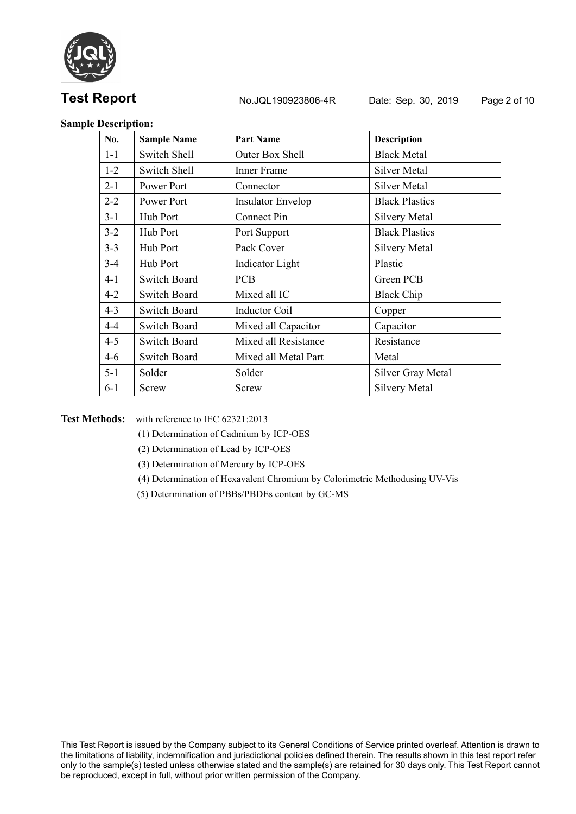

**Test Report No.JQL190923806-4R** Date: Sep. 30, 2019 Page 2 of 10

## **Sample Description:**

| No.     | <b>Sample Name</b>  | <b>Part Name</b>         | <b>Description</b>    |
|---------|---------------------|--------------------------|-----------------------|
| $1 - 1$ | Switch Shell        | Outer Box Shell          | <b>Black Metal</b>    |
| $1 - 2$ | Switch Shell        | Inner Frame              | Silver Metal          |
| $2 - 1$ | Power Port          | Connector                | Silver Metal          |
| $2 - 2$ | Power Port          | <b>Insulator Envelop</b> | <b>Black Plastics</b> |
| $3 - 1$ | Hub Port            | Connect Pin              | <b>Silvery Metal</b>  |
| $3 - 2$ | Hub Port            | Port Support             | <b>Black Plastics</b> |
| $3 - 3$ | Hub Port            | Pack Cover               | <b>Silvery Metal</b>  |
| $3 - 4$ | Hub Port            | Indicator Light          | Plastic               |
| $4 - 1$ | <b>Switch Board</b> | <b>PCB</b>               | Green PCB             |
| $4 - 2$ | <b>Switch Board</b> | Mixed all IC             | <b>Black Chip</b>     |
| $4 - 3$ | <b>Switch Board</b> | <b>Inductor Coil</b>     | Copper                |
| $4 - 4$ | <b>Switch Board</b> | Mixed all Capacitor      | Capacitor             |
| $4 - 5$ | <b>Switch Board</b> | Mixed all Resistance     | Resistance            |
| $4 - 6$ | <b>Switch Board</b> | Mixed all Metal Part     | Metal                 |
| $5 - 1$ | Solder              | Solder                   | Silver Gray Metal     |
| $6 - 1$ | Screw               | Screw                    | <b>Silvery Metal</b>  |

**Test Methods:** with reference to IEC 62321:2013

- (1) Determination of Cadmium by ICP-OES
- (2) Determination of Lead by ICP-OES
- (3) Determination of Mercury by ICP-OES
- (4) Determination of Hexavalent Chromium by Colorimetric Methodusing UV-Vis
- (5) Determination of PBBs/PBDEs content by GC-MS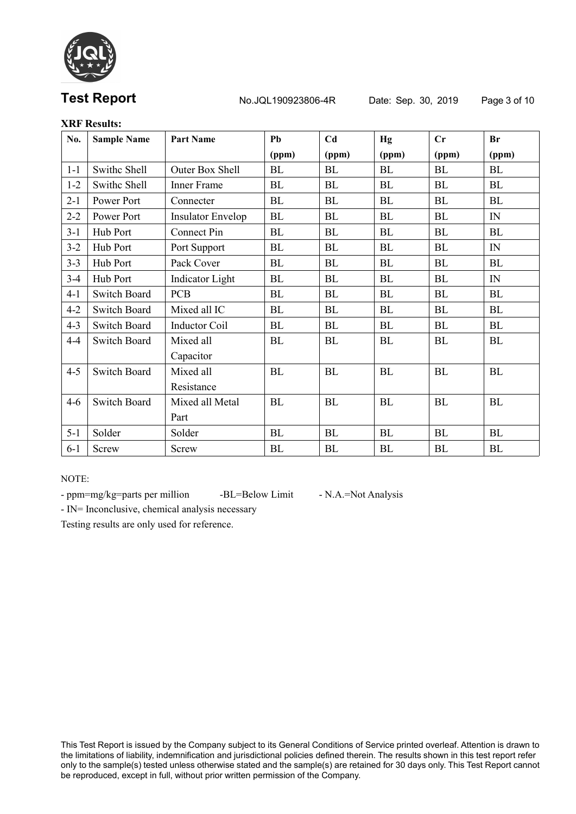

# **Test Report** No.JQL190923806-4R Date: Sep. 30, 2019 Page 3 of 10

# **XRF Results:**

| No.     | <b>Sample Name</b>  | <b>Part Name</b>         | Pb    | C <sub>d</sub> | Hg        | $\mathbf{C}$ r | <b>Br</b>  |
|---------|---------------------|--------------------------|-------|----------------|-----------|----------------|------------|
|         |                     |                          | (ppm) | (ppm)          | (ppm)     | (ppm)          | (ppm)      |
| $1 - 1$ | Swithc Shell        | Outer Box Shell          | BL    | BL             | BL        | BL             | BL         |
| $1 - 2$ | Swithc Shell        | Inner Frame              | BL    | BL             | BL        | BL             | BL         |
| $2-1$   | Power Port          | Connecter                | BL    | BL             | BL        | BL             | BL         |
| $2 - 2$ | Power Port          | <b>Insulator Envelop</b> | BL    | BL             | BL        | BL             | IN         |
| $3-1$   | Hub Port            | Connect Pin              | BL    | BL             | BL        | BL             | BL         |
| $3 - 2$ | Hub Port            | Port Support             | BL    | BL             | <b>BL</b> | <b>BL</b>      | IN         |
| $3 - 3$ | Hub Port            | Pack Cover               | BL    | BL             | <b>BL</b> | BL             | BL         |
| $3-4$   | Hub Port            | <b>Indicator</b> Light   | BL    | BL             | BL        | BL             | IN         |
| $4 - 1$ | <b>Switch Board</b> | <b>PCB</b>               | BL    | BL             | BL        | BL             | BL         |
| $4 - 2$ | <b>Switch Board</b> | Mixed all IC             | BL    | BL             | BL        | BL             | BL         |
| $4 - 3$ | Switch Board        | <b>Inductor Coil</b>     | BL    | BL             | BL        | BL             | BL         |
| $4 - 4$ | <b>Switch Board</b> | Mixed all                | BL    | BL             | BL        | BL             | ${\rm BL}$ |
|         |                     | Capacitor                |       |                |           |                |            |
| $4 - 5$ | <b>Switch Board</b> | Mixed all                | BL    | BL             | BL        | BL             | BL         |
|         |                     | Resistance               |       |                |           |                |            |
| $4 - 6$ | <b>Switch Board</b> | Mixed all Metal          | BL    | BL             | <b>BL</b> | BL             | <b>BL</b>  |
|         |                     | Part                     |       |                |           |                |            |
| $5 - 1$ | Solder              | Solder                   | BL    | BL             | BL        | BL             | BL         |
| $6 - 1$ | Screw               | Screw                    | BL    | BL             | BL        | BL             | <b>BL</b>  |

NOTE:

- ppm=mg/kg=parts per million -BL=Below Limit - N.A.=Not Analysis

- IN= Inconclusive, chemical analysis necessary

Testing results are only used for reference.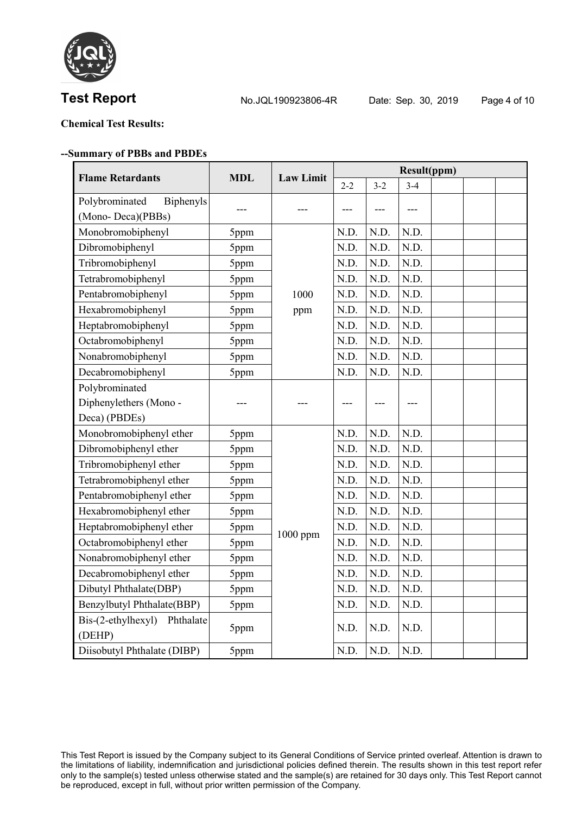

**Test Report No.JQL190923806-4R** Date: Sep. 30, 2019 Page 4 of 10

# **Chemical Test Results:**

### **--Summary of PBBs and PBDEs**

| <b>Flame Retardants</b>                | <b>MDL</b> | <b>Law Limit</b> |         |         | <b>Result(ppm)</b> |  |  |
|----------------------------------------|------------|------------------|---------|---------|--------------------|--|--|
|                                        |            |                  | $2 - 2$ | $3 - 2$ | $3-4$              |  |  |
| Polybrominated<br><b>Biphenyls</b>     |            |                  | ---     |         | ---                |  |  |
| (Mono-Deca)(PBBs)                      |            |                  |         |         |                    |  |  |
| Monobromobiphenyl                      | 5ppm       |                  | N.D.    | N.D.    | N.D.               |  |  |
| Dibromobiphenyl                        | 5ppm       |                  | N.D.    | N.D.    | N.D.               |  |  |
| Tribromobiphenyl                       | 5ppm       |                  | N.D.    | N.D.    | N.D.               |  |  |
| Tetrabromobiphenyl                     | 5ppm       |                  | N.D.    | N.D.    | N.D.               |  |  |
| Pentabromobiphenyl                     | 5ppm       | 1000             | N.D.    | N.D.    | N.D.               |  |  |
| Hexabromobiphenyl                      | 5ppm       | ppm              | N.D.    | N.D.    | N.D.               |  |  |
| Heptabromobiphenyl                     | 5ppm       |                  | N.D.    | N.D.    | N.D.               |  |  |
| Octabromobiphenyl                      | 5ppm       |                  | N.D.    | N.D.    | N.D.               |  |  |
| Nonabromobiphenyl                      | 5ppm       |                  | N.D.    | N.D.    | N.D.               |  |  |
| Decabromobiphenyl                      | 5ppm       |                  | N.D.    | N.D.    | N.D.               |  |  |
| Polybrominated                         |            |                  |         |         |                    |  |  |
| Diphenylethers (Mono-                  |            |                  |         |         |                    |  |  |
| Deca) (PBDEs)                          |            |                  |         |         |                    |  |  |
| Monobromobiphenyl ether                | 5ppm       |                  | N.D.    | N.D.    | N.D.               |  |  |
| Dibromobiphenyl ether                  | 5ppm       |                  | N.D.    | N.D.    | N.D.               |  |  |
| Tribromobiphenyl ether                 | 5ppm       |                  | N.D.    | N.D.    | N.D.               |  |  |
| Tetrabromobiphenyl ether               | 5ppm       |                  | N.D.    | N.D.    | N.D.               |  |  |
| Pentabromobiphenyl ether               | 5ppm       |                  | N.D.    | N.D.    | N.D.               |  |  |
| Hexabromobiphenyl ether                | 5ppm       |                  | N.D.    | N.D.    | N.D.               |  |  |
| Heptabromobiphenyl ether               | 5ppm       | 1000 ppm         | N.D.    | N.D.    | N.D.               |  |  |
| Octabromobiphenyl ether                | 5ppm       |                  | N.D.    | N.D.    | N.D.               |  |  |
| Nonabromobiphenyl ether                | 5ppm       |                  | N.D.    | N.D.    | N.D.               |  |  |
| Decabromobiphenyl ether                | 5ppm       |                  | N.D.    | N.D.    | N.D.               |  |  |
| Dibutyl Phthalate(DBP)                 | 5ppm       |                  | N.D.    | N.D.    | N.D.               |  |  |
| Benzylbutyl Phthalate(BBP)             | 5ppm       |                  | N.D.    | N.D.    | N.D.               |  |  |
| Bis-(2-ethylhexyl) Phthalate<br>(DEHP) | 5ppm       |                  | N.D.    | N.D.    | N.D.               |  |  |
| Diisobutyl Phthalate (DIBP)            | 5ppm       |                  | N.D.    | N.D.    | N.D.               |  |  |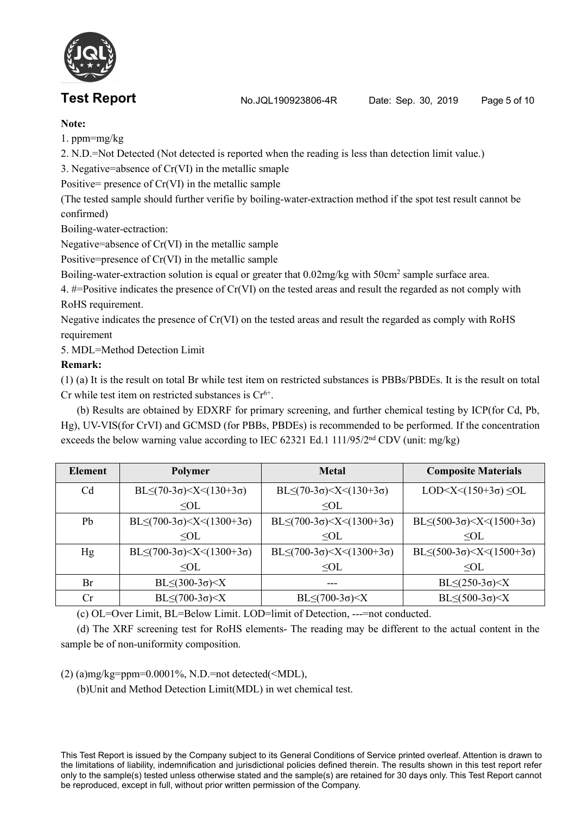**Test Report** No.JQL190923806-4R Date: Sep. 30, 2019 Page 5 of 10



## **Note:**

1. ppm=mg/kg

2. N.D.=Not Detected (Not detected is reported when the reading is less than detection limit value.)

3. Negative=absence of Cr(VI) in the metallic smaple

Positive= presence of  $Cr(VI)$  in the metallic sample

(The tested sample should further verifie by boiling-water-extraction method if the spottest result cannot be confirmed)

Boiling-water-ectraction:

Negative=absence of Cr(VI) in the metallic sample

Positive=presence of Cr(VI) in the metallic sample

Boiling-water-extraction solution is equal or greater that 0.02mg/kg with 50cm<sup>2</sup> sample surface area.

4. #=Positive indicates the presence of Cr(VI) on the tested areas and result the regarded as not comply with RoHS requirement.

Negative indicates the presence of Cr(VI) on the tested areas and result the regarded as comply with RoHS requirement

5. MDL=Method Detection Limit

## **Remark:**

(1) (a) It is the result on total Br while test item on restricted substances is PBBs/PBDEs. It is the result on total Cr while test item on restricted substances is  $Cr<sup>6+</sup>$ . .

(b) Results are obtained by EDXRF for primary screening, and further chemical testing by ICP(for Cd, Pb, Hg), UV-VIS(for CrVI) and GCMSD (for PBBs, PBDEs) is recommended to be performed. If the concentration exceeds the below warning value according to IEC 62321 Ed.1 111/95/2<sup>nd</sup> CDV (unit: mg/kg)

| <b>Element</b> | <b>Polymer</b>                              | <b>Metal</b>                                                   | <b>Composite Materials</b>                                     |  |
|----------------|---------------------------------------------|----------------------------------------------------------------|----------------------------------------------------------------|--|
| C <sub>d</sub> | BL $\leq$ (70-3σ) $\leq$ X $\leq$ (130+3σ)  | $BL \le (70-3\sigma) < X < (130+3\sigma)$                      | LOD $\leq$ X $\leq$ (150+3 $\sigma$ ) $\leq$ OL                |  |
|                | $\leq$ OL                                   | $\leq$ OL                                                      |                                                                |  |
| Pb             | $BL \le (700-3\sigma) < X < (1300+3\sigma)$ | $BL \le (700-3\sigma) < X < (1300+3\sigma)$                    | BL $\leq$ (500-3σ) $\leq$ X $\leq$ (1500+3σ)                   |  |
|                | $\leq$ OL                                   | $\leq$ OL                                                      | $\leq$ OL                                                      |  |
| Hg             | $BL \le (700-3\sigma) < X < (1300+3\sigma)$ | BL $\leq$ (700-3 $\sigma$ ) $\leq$ X $\leq$ (1300+3 $\sigma$ ) | BL $\leq$ (500-3 $\sigma$ ) $\leq$ X $\leq$ (1500+3 $\sigma$ ) |  |
|                | $\leq$ OL                                   | $\leq$ OL                                                      | $\leq$ OL                                                      |  |
| Br             | $BL \leq (300-3\sigma) < X$                 | $---$                                                          | $BL \leq (250-3\sigma) < X$                                    |  |
| Cr             | $BL \leq (700-3\sigma) < X$                 | $BL \leq (700-3\sigma) < X$                                    | $BL \leq (500-3\sigma) < X$                                    |  |

(c) OL=Over Limit, BL=Below Limit. LOD=limit of Detection, ---=not conducted.

(d) The XRF screening test for RoHS elements-The reading may be different to the actualcontent in the sample be of non-uniformity composition.

 $(2)$  (a)mg/kg=ppm=0.0001%, N.D.=not detected(<MDL),

(b)Unit and Method Detection Limit(MDL) in wet chemical test.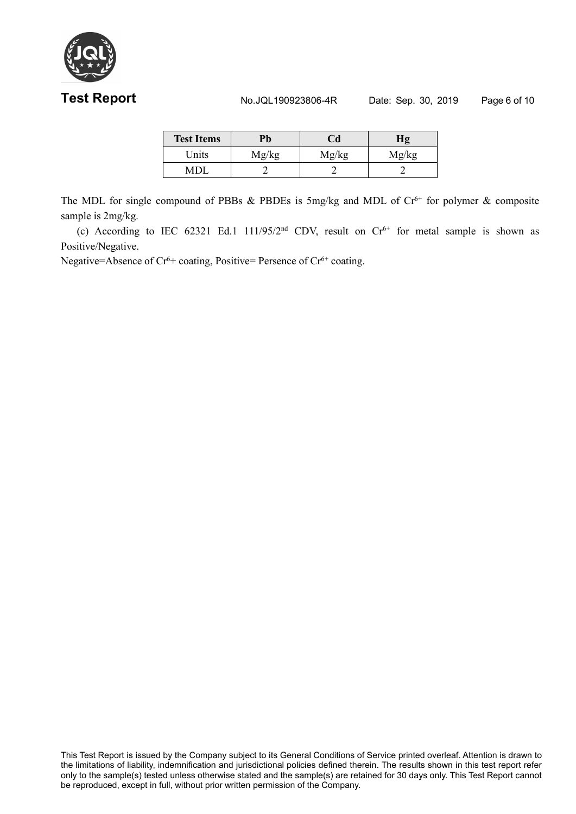

# **Test Report No.JQL190923806-4R** Date: Sep. 30, 2019 Page 6 of 10

| <b>Test Items</b> | Pb    | Cd    | Hg    |
|-------------------|-------|-------|-------|
| Units             | Mg/kg | Mg/kg | Mg/kg |
| <b>MDL</b>        |       |       |       |

The MDL for single compound of PBBs  $\&$  PBDEs is 5mg/kg and MDL of  $Cr^{6+}$  for polymer  $\&$  composite sample is 2mg/kg.

(c) According to IEC 62321 Ed.1 111/95/2<sup>nd</sup> CDV, result on  $Cr<sup>6+</sup>$  for metal sample is shown as Positive/Negative.

Negative=Absence of Cr<sup>6+</sup> coating, Positive= Persence of Cr<sup>6+</sup> coating.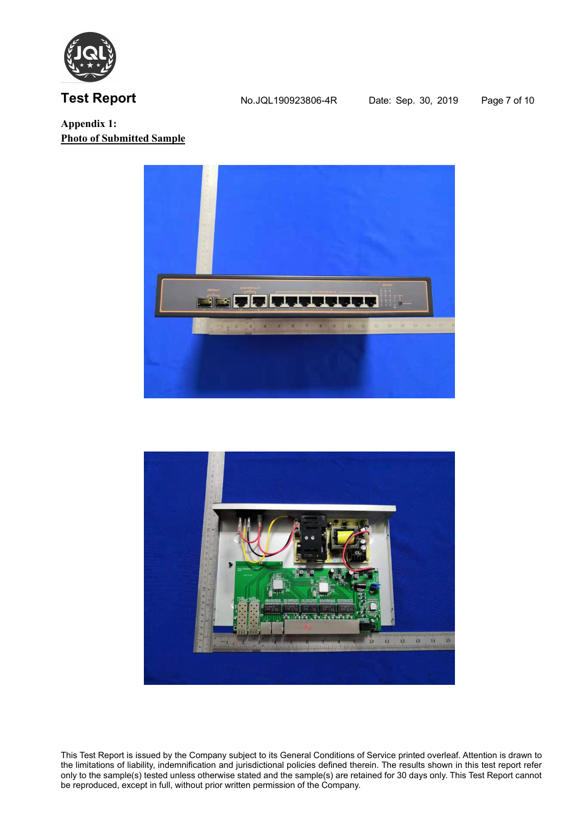

**Test Report** No.JQL190923806-4R Date: Sep. 30, 2019 Page 7 of 10

**Appendix 1: Photo of Submitted Sample**



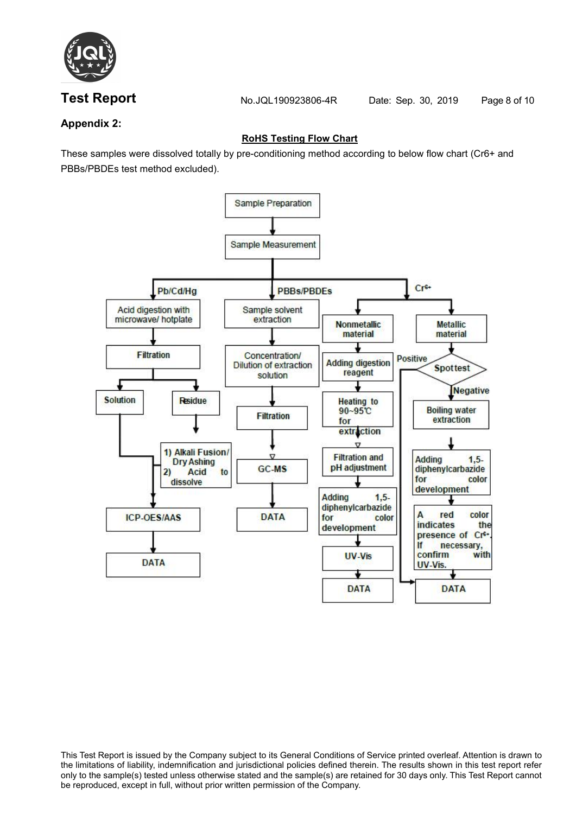

**Test Report No.JQL190923806-4R** Date: Sep. 30, 2019 Page 8 of 10

# **Appendix 2:**

# **RoHS Testing Flow Chart**

These samples were dissolved totally by pre-conditioning method according to below flow chart (Cr6+ and PBBs/PBDEs test method excluded).

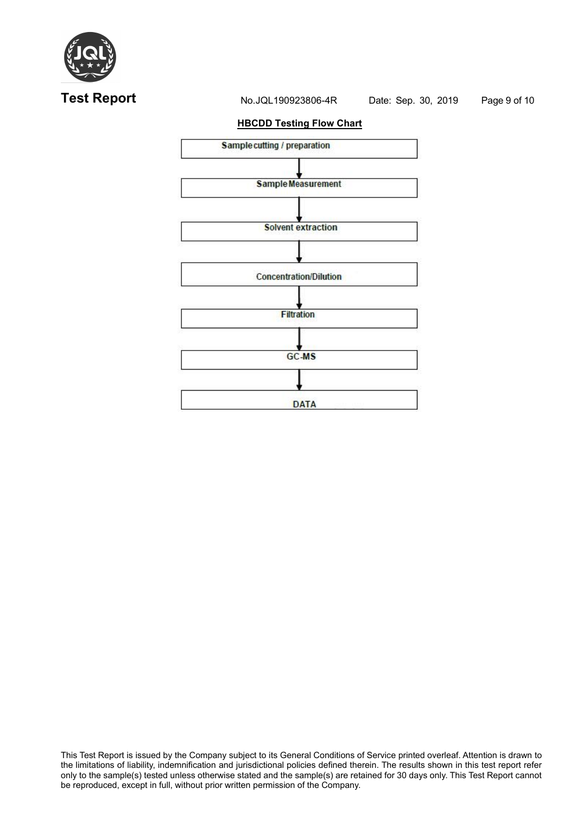

# **Test Report No.JQL190923806-4R** Date: Sep. 30, 2019 Page 9 of 10

### **HBCDD Testing Flow Chart**